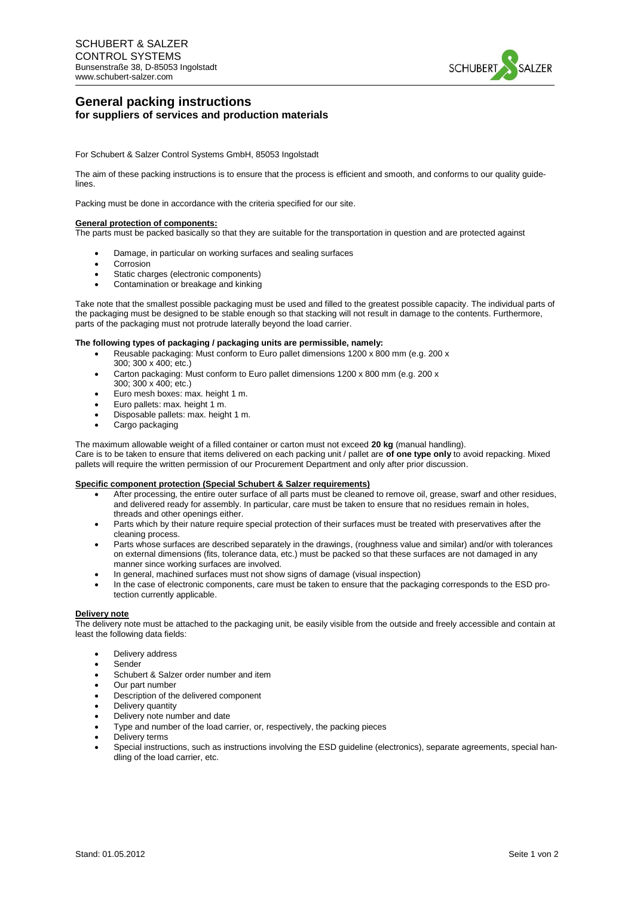

# **General packing instructions for suppliers of services and production materials**

For Schubert & Salzer Control Systems GmbH, 85053 Ingolstadt

The aim of these packing instructions is to ensure that the process is efficient and smooth, and conforms to our quality guidelines.

Packing must be done in accordance with the criteria specified for our site.

### **General protection of components:**

The parts must be packed basically so that they are suitable for the transportation in question and are protected against

- Damage, in particular on working surfaces and sealing surfaces
- Corrosion
- Static charges (electronic components)
- Contamination or breakage and kinking

Take note that the smallest possible packaging must be used and filled to the greatest possible capacity. The individual parts of the packaging must be designed to be stable enough so that stacking will not result in damage to the contents. Furthermore, parts of the packaging must not protrude laterally beyond the load carrier.

### **The following types of packaging / packaging units are permissible, namely:**

- Reusable packaging: Must conform to Euro pallet dimensions 1200 x 800 mm (e.g. 200 x 300; 300 x 400; etc.)
- Carton packaging: Must conform to Euro pallet dimensions 1200 x 800 mm (e.g. 200 x 300; 300 x 400; etc.)
- Euro mesh boxes: max. height 1 m.
- Euro pallets: max. height 1 m.
- Disposable pallets: max. height 1 m.
- Cargo packaging

The maximum allowable weight of a filled container or carton must not exceed **20 kg** (manual handling).

Care is to be taken to ensure that items delivered on each packing unit / pallet are **of one type only** to avoid repacking. Mixed pallets will require the written permission of our Procurement Department and only after prior discussion.

### **Specific component protection (Special Schubert & Salzer requirements)**

- After processing, the entire outer surface of all parts must be cleaned to remove oil, grease, swarf and other residues, and delivered ready for assembly. In particular, care must be taken to ensure that no residues remain in holes, threads and other openings either.
- Parts which by their nature require special protection of their surfaces must be treated with preservatives after the cleaning process.
- Parts whose surfaces are described separately in the drawings, (roughness value and similar) and/or with tolerances on external dimensions (fits, tolerance data, etc.) must be packed so that these surfaces are not damaged in any manner since working surfaces are involved.
- In general, machined surfaces must not show signs of damage (visual inspection)
- In the case of electronic components, care must be taken to ensure that the packaging corresponds to the ESD protection currently applicable.

#### **Delivery note**

The delivery note must be attached to the packaging unit, be easily visible from the outside and freely accessible and contain at least the following data fields:

- Delivery address
- Sender
- **•** Schubert & Salzer order number and item
- Our part number
- Description of the delivered component
- Delivery quantity
- Delivery note number and date
- Type and number of the load carrier, or, respectively, the packing pieces
- Delivery terms
- Special instructions, such as instructions involving the ESD guideline (electronics), separate agreements, special handling of the load carrier, etc.